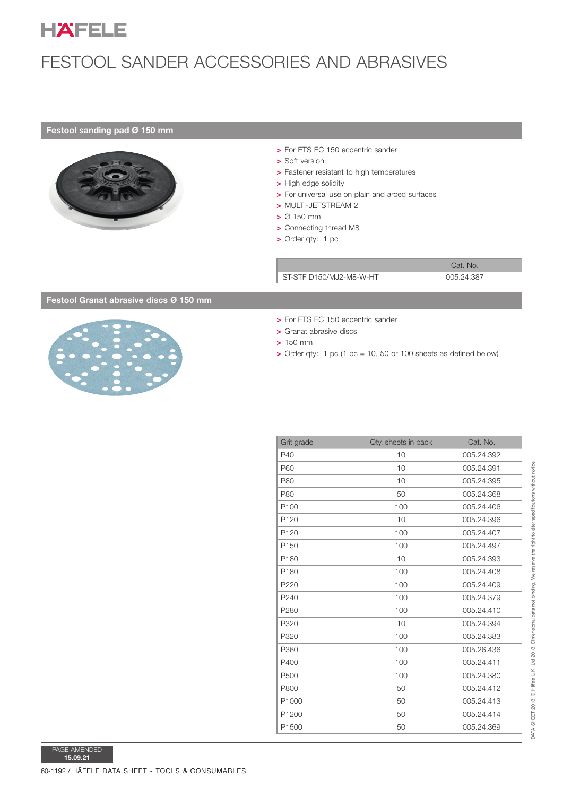

# FESTOOL SANDER ACCESSORIES AND ABRASIVES

### Festool sanding pad  $Ø$  150 mm



- > Soft version
- > Fastener resistant to high temperatures
- > High edge solidity
- > For universal use on plain and arced surfaces
- > MULTI-JETSTREAM 2
- $> 0$  150 mm
- > Connecting thread M8
- $\triangleright$  Order qty: 1 pc

### Festool Granat abrasive discs  $Ø$  150 mm



- > For ETS EC 150 eccentric sander
- > Granat abrasive discs
- $> 150$  mm
- $\triangleright$  Order gty: 1 pc (1 pc = 10, 50 or 100 sheets as defined below)

|                                    | > For ETS EC 150 eccentric sander<br>> Soft version<br>> Fastener resistant to high temperatures<br>> High edge solidity<br>> For universal use on plain and arced surfaces<br>> MULTI-JETSTREAM 2<br>$> 0.150$ mm<br>> Connecting thread M8<br>> Order qty: 1 pc |                                                                  |                          |
|------------------------------------|-------------------------------------------------------------------------------------------------------------------------------------------------------------------------------------------------------------------------------------------------------------------|------------------------------------------------------------------|--------------------------|
|                                    |                                                                                                                                                                                                                                                                   | Cat. No.                                                         |                          |
|                                    | ST-STF D150/MJ2-M8-W-HT                                                                                                                                                                                                                                           |                                                                  | 005.24.387               |
| ool Granat abrasive discs Ø 150 mm |                                                                                                                                                                                                                                                                   |                                                                  |                          |
|                                    | > For ETS EC 150 eccentric sander<br>> Granat abrasive discs<br>$> 150$ mm                                                                                                                                                                                        | > Order qty: 1 pc (1 pc = 10, 50 or 100 sheets as defined below) |                          |
|                                    |                                                                                                                                                                                                                                                                   |                                                                  |                          |
|                                    | Grit grade                                                                                                                                                                                                                                                        | Qty. sheets in pack                                              | Cat. No.                 |
|                                    | P40                                                                                                                                                                                                                                                               | 10                                                               | 005.24.392               |
|                                    | P60                                                                                                                                                                                                                                                               | 10                                                               | 005.24.391               |
|                                    | P80                                                                                                                                                                                                                                                               | 10                                                               | 005.24.395               |
|                                    | P80                                                                                                                                                                                                                                                               | 50                                                               | 005.24.368               |
|                                    | P100                                                                                                                                                                                                                                                              | 100                                                              | 005.24.406               |
|                                    | P120                                                                                                                                                                                                                                                              | 10                                                               | 005.24.396               |
|                                    | P120                                                                                                                                                                                                                                                              | 100                                                              | 005.24.407               |
|                                    | P150                                                                                                                                                                                                                                                              | 100                                                              | 005.24.497               |
|                                    | P180                                                                                                                                                                                                                                                              | 10                                                               | 005.24.393               |
|                                    | P180                                                                                                                                                                                                                                                              | 100                                                              | 005.24.408               |
|                                    | P220                                                                                                                                                                                                                                                              | 100                                                              | 005.24.409               |
|                                    | P240                                                                                                                                                                                                                                                              | 100                                                              | 005.24.379<br>005.24.410 |
|                                    | P280<br>P320                                                                                                                                                                                                                                                      | 100<br>$10$                                                      | 005.24.394               |
|                                    | P320                                                                                                                                                                                                                                                              | 100                                                              | 005.24.383               |
|                                    | P360                                                                                                                                                                                                                                                              | 100                                                              | 005.26.436               |
|                                    | P400                                                                                                                                                                                                                                                              | 100                                                              | 005.24.411               |
|                                    | P500                                                                                                                                                                                                                                                              | 100                                                              | 005.24.380               |
|                                    | P800                                                                                                                                                                                                                                                              | 50                                                               | 005.24.412               |
|                                    | P1000                                                                                                                                                                                                                                                             | 50                                                               | 005.24.413               |
|                                    | P1200                                                                                                                                                                                                                                                             | 50                                                               | 005.24.414               |